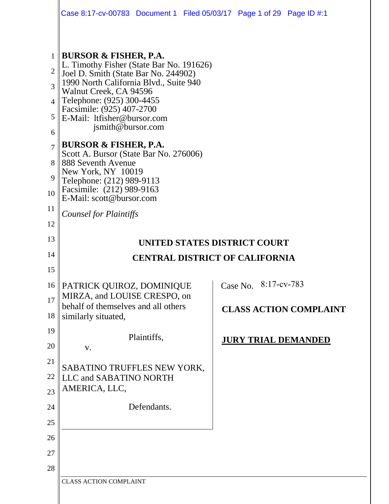|                | Case 8:17-cv-00783 Document 1 Filed 05/03/17 Page 1 of 29 Page ID #:1                                                                                |                             |  |                              |                               |  |  |  |
|----------------|------------------------------------------------------------------------------------------------------------------------------------------------------|-----------------------------|--|------------------------------|-------------------------------|--|--|--|
|                |                                                                                                                                                      |                             |  |                              |                               |  |  |  |
| $\mathbf{1}$   | BURSOR & FISHER, P.A.                                                                                                                                |                             |  |                              |                               |  |  |  |
| $\overline{2}$ | L. Timothy Fisher (State Bar No. 191626)<br>Joel D. Smith (State Bar No. 244902)<br>1990 North California Blvd., Suite 940<br>Walnut Creek, CA 94596 |                             |  |                              |                               |  |  |  |
| 3              |                                                                                                                                                      |                             |  |                              |                               |  |  |  |
| $\overline{4}$ | Telephone: (925) 300-4455<br>Facsimile: (925) 407-2700<br>E-Mail: ltfisher@bursor.com                                                                |                             |  |                              |                               |  |  |  |
| 5              |                                                                                                                                                      |                             |  |                              |                               |  |  |  |
| 6              | jsmith@bursor.com                                                                                                                                    |                             |  |                              |                               |  |  |  |
| $\overline{7}$ | <b>BURSOR &amp; FISHER, P.A.</b>                                                                                                                     |                             |  |                              |                               |  |  |  |
| 8              | Scott A. Bursor (State Bar No. 276006)<br>888 Seventh Avenue                                                                                         |                             |  |                              |                               |  |  |  |
| 9              | New York, NY 10019<br>Telephone: (212) 989-9113                                                                                                      |                             |  |                              |                               |  |  |  |
| 10             | Facsimile: (212) 989-9163<br>E-Mail: scott@bursor.com<br><b>Counsel for Plaintiffs</b>                                                               |                             |  |                              |                               |  |  |  |
| 11             |                                                                                                                                                      |                             |  |                              |                               |  |  |  |
| 12             |                                                                                                                                                      |                             |  |                              |                               |  |  |  |
| 13             | UNITED STATES DISTRICT COURT                                                                                                                         |                             |  |                              |                               |  |  |  |
| 14             | <b>CENTRAL DISTRICT OF CALIFORNIA</b>                                                                                                                |                             |  |                              |                               |  |  |  |
| 15             |                                                                                                                                                      |                             |  |                              |                               |  |  |  |
| $16 \parallel$ | PATRICK QUIROZ, DOMINIQUE                                                                                                                            |                             |  | $\vert$ Case No. 8:17-cv-783 |                               |  |  |  |
| 17             | MIRZA, and LOUISE CRESPO, on<br>behalf of themselves and all others                                                                                  |                             |  |                              |                               |  |  |  |
| 18             | similarly situated,                                                                                                                                  |                             |  |                              | <b>CLASS ACTION COMPLAINT</b> |  |  |  |
| 19             |                                                                                                                                                      | Plaintiffs,                 |  |                              | <b>JURY TRIAL DEMANDED</b>    |  |  |  |
| 20             | V.                                                                                                                                                   |                             |  |                              |                               |  |  |  |
| 21             |                                                                                                                                                      | SABATINO TRUFFLES NEW YORK, |  |                              |                               |  |  |  |
| 22             | LLC and SABATINO NORTH                                                                                                                               |                             |  |                              |                               |  |  |  |
| 23             | AMERICA, LLC,                                                                                                                                        |                             |  |                              |                               |  |  |  |
| 24             |                                                                                                                                                      | Defendants.                 |  |                              |                               |  |  |  |
| 25             |                                                                                                                                                      |                             |  |                              |                               |  |  |  |
| 26             |                                                                                                                                                      |                             |  |                              |                               |  |  |  |
| 27             |                                                                                                                                                      |                             |  |                              |                               |  |  |  |
| 28             |                                                                                                                                                      |                             |  |                              |                               |  |  |  |
|                | <b>CLASS ACTION COMPLAINT</b>                                                                                                                        |                             |  |                              |                               |  |  |  |

 $\parallel$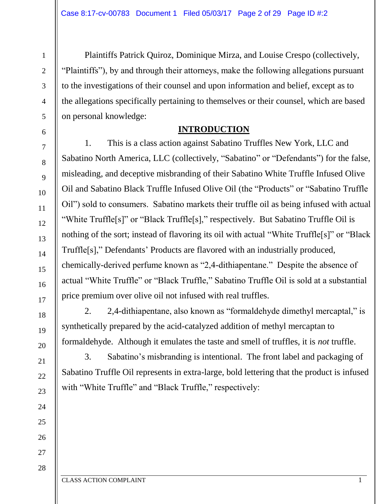Plaintiffs Patrick Quiroz, Dominique Mirza, and Louise Crespo (collectively, "Plaintiffs"), by and through their attorneys, make the following allegations pursuant to the investigations of their counsel and upon information and belief, except as to the allegations specifically pertaining to themselves or their counsel, which are based on personal knowledge:

#### **INTRODUCTION**

1. This is a class action against Sabatino Truffles New York, LLC and Sabatino North America, LLC (collectively, "Sabatino" or "Defendants") for the false, misleading, and deceptive misbranding of their Sabatino White Truffle Infused Olive Oil and Sabatino Black Truffle Infused Olive Oil (the "Products" or "Sabatino Truffle Oil") sold to consumers. Sabatino markets their truffle oil as being infused with actual "White Truffle[s]" or "Black Truffle[s]," respectively. But Sabatino Truffle Oil is nothing of the sort; instead of flavoring its oil with actual "White Truffle[s]" or "Black Truffle[s]," Defendants' Products are flavored with an industrially produced, chemically-derived perfume known as "2,4-dithiapentane." Despite the absence of actual "White Truffle" or "Black Truffle," Sabatino Truffle Oil is sold at a substantial price premium over olive oil not infused with real truffles.

2. 2,4-dithiapentane, also known as "formaldehyde dimethyl mercaptal," is synthetically prepared by the acid-catalyzed addition of methyl mercaptan to formaldehyde. Although it emulates the taste and smell of truffles, it is *not* truffle.

3. Sabatino's misbranding is intentional. The front label and packaging of Sabatino Truffle Oil represents in extra-large, bold lettering that the product is infused with "White Truffle" and "Black Truffle," respectively:

CLASS ACTION COMPLAINT 1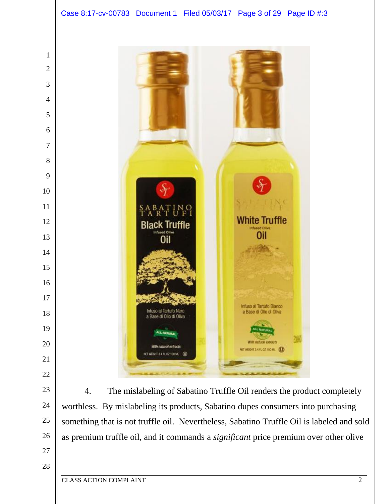





4. The mislabeling of Sabatino Truffle Oil renders the product completely worthless. By mislabeling its products, Sabatino dupes consumers into purchasing something that is not truffle oil. Nevertheless, Sabatino Truffle Oil is labeled and sold as premium truffle oil, and it commands a *significant* price premium over other olive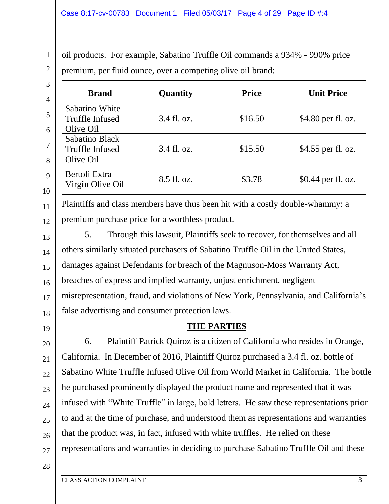oil products. For example, Sabatino Truffle Oil commands a 934% - 990% price premium, per fluid ounce, over a competing olive oil brand:

| 3<br>$\overline{4}$ | <b>Brand</b>                                          | Quantity    | <b>Price</b> | <b>Unit Price</b>  |
|---------------------|-------------------------------------------------------|-------------|--------------|--------------------|
| 6                   | Sabatino White<br><b>Truffle Infused</b><br>Olive Oil | 3.4 fl. oz. | \$16.50      | \$4.80 per fl. oz. |
| $\tau$<br>8         | Sabatino Black<br><b>Truffle Infused</b><br>Olive Oil | 3.4 fl. oz. | \$15.50      | \$4.55 per fl. oz. |
| $\mathbf{Q}$<br>10  | Bertoli Extra<br>Virgin Olive Oil                     | 8.5 fl. oz. | \$3.78       | \$0.44 per fl. oz. |

12 Plaintiffs and class members have thus been hit with a costly double-whammy: a premium purchase price for a worthless product.

13 14 15 16 17 18 5. Through this lawsuit, Plaintiffs seek to recover, for themselves and all others similarly situated purchasers of Sabatino Truffle Oil in the United States, damages against Defendants for breach of the Magnuson-Moss Warranty Act, breaches of express and implied warranty, unjust enrichment, negligent misrepresentation, fraud, and violations of New York, Pennsylvania, and California's false advertising and consumer protection laws.

19

20

21

22

23

24

25

26

11

1

2

## **THE PARTIES**

6. Plaintiff Patrick Quiroz is a citizen of California who resides in Orange, California. In December of 2016, Plaintiff Quiroz purchased a 3.4 fl. oz. bottle of Sabatino White Truffle Infused Olive Oil from World Market in California. The bottle he purchased prominently displayed the product name and represented that it was infused with "White Truffle" in large, bold letters. He saw these representations prior to and at the time of purchase, and understood them as representations and warranties that the product was, in fact, infused with white truffles. He relied on these representations and warranties in deciding to purchase Sabatino Truffle Oil and these

28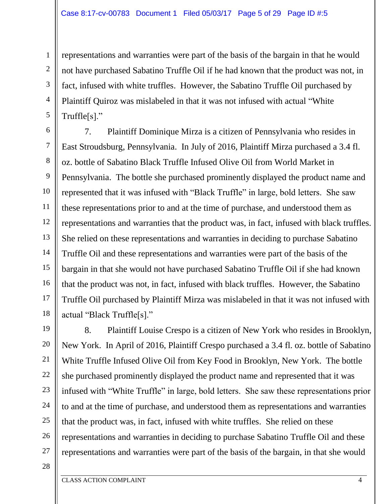representations and warranties were part of the basis of the bargain in that he would not have purchased Sabatino Truffle Oil if he had known that the product was not, in fact, infused with white truffles. However, the Sabatino Truffle Oil purchased by Plaintiff Quiroz was mislabeled in that it was not infused with actual "White Truffle[s]."

6 7 8 9 10 11 12 13 14 15 16 17 18 7. Plaintiff Dominique Mirza is a citizen of Pennsylvania who resides in East Stroudsburg, Pennsylvania. In July of 2016, Plaintiff Mirza purchased a 3.4 fl. oz. bottle of Sabatino Black Truffle Infused Olive Oil from World Market in Pennsylvania. The bottle she purchased prominently displayed the product name and represented that it was infused with "Black Truffle" in large, bold letters. She saw these representations prior to and at the time of purchase, and understood them as representations and warranties that the product was, in fact, infused with black truffles. She relied on these representations and warranties in deciding to purchase Sabatino Truffle Oil and these representations and warranties were part of the basis of the bargain in that she would not have purchased Sabatino Truffle Oil if she had known that the product was not, in fact, infused with black truffles. However, the Sabatino Truffle Oil purchased by Plaintiff Mirza was mislabeled in that it was not infused with actual "Black Truffle[s]."

19 20 21 22 23 24 25 26 27 8. Plaintiff Louise Crespo is a citizen of New York who resides in Brooklyn, New York. In April of 2016, Plaintiff Crespo purchased a 3.4 fl. oz. bottle of Sabatino White Truffle Infused Olive Oil from Key Food in Brooklyn, New York. The bottle she purchased prominently displayed the product name and represented that it was infused with "White Truffle" in large, bold letters. She saw these representations prior to and at the time of purchase, and understood them as representations and warranties that the product was, in fact, infused with white truffles. She relied on these representations and warranties in deciding to purchase Sabatino Truffle Oil and these representations and warranties were part of the basis of the bargain, in that she would

28

1

2

3

4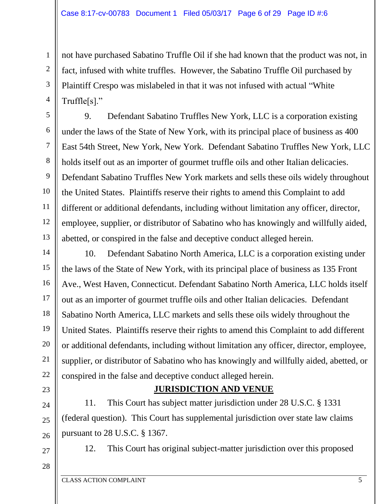not have purchased Sabatino Truffle Oil if she had known that the product was not, in fact, infused with white truffles. However, the Sabatino Truffle Oil purchased by Plaintiff Crespo was mislabeled in that it was not infused with actual "White Truffle[s]."

9. Defendant Sabatino Truffles New York, LLC is a corporation existing under the laws of the State of New York, with its principal place of business as 400 East 54th Street, New York, New York. Defendant Sabatino Truffles New York, LLC holds itself out as an importer of gourmet truffle oils and other Italian delicacies. Defendant Sabatino Truffles New York markets and sells these oils widely throughout the United States. Plaintiffs reserve their rights to amend this Complaint to add different or additional defendants, including without limitation any officer, director, employee, supplier, or distributor of Sabatino who has knowingly and willfully aided, abetted, or conspired in the false and deceptive conduct alleged herein.

14 15 16 17 18 19 20 21 22 10. Defendant Sabatino North America, LLC is a corporation existing under the laws of the State of New York, with its principal place of business as 135 Front Ave., West Haven, Connecticut. Defendant Sabatino North America, LLC holds itself out as an importer of gourmet truffle oils and other Italian delicacies. Defendant Sabatino North America, LLC markets and sells these oils widely throughout the United States. Plaintiffs reserve their rights to amend this Complaint to add different or additional defendants, including without limitation any officer, director, employee, supplier, or distributor of Sabatino who has knowingly and willfully aided, abetted, or conspired in the false and deceptive conduct alleged herein.

## **JURISDICTION AND VENUE**

26 11. This Court has subject matter jurisdiction under 28 U.S.C. § 1331 (federal question). This Court has supplemental jurisdiction over state law claims pursuant to 28 U.S.C. § 1367.

27 28

23

 $24$ 

25

1

2

3

4

5

6

7

8

9

10

11

12

13

12. This Court has original subject-matter jurisdiction over this proposed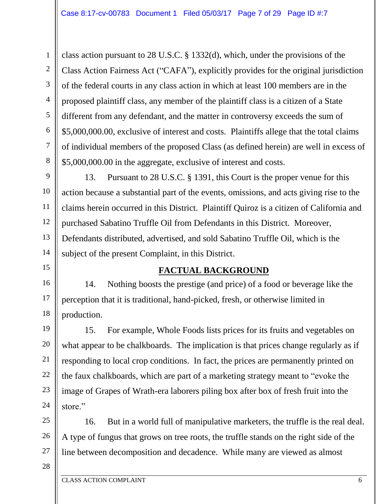6 8 class action pursuant to 28 U.S.C. § 1332(d), which, under the provisions of the Class Action Fairness Act ("CAFA"), explicitly provides for the original jurisdiction of the federal courts in any class action in which at least 100 members are in the proposed plaintiff class, any member of the plaintiff class is a citizen of a State different from any defendant, and the matter in controversy exceeds the sum of \$5,000,000.00, exclusive of interest and costs. Plaintiffs allege that the total claims of individual members of the proposed Class (as defined herein) are well in excess of \$5,000,000.00 in the aggregate, exclusive of interest and costs.

9 10 11 12 13 14 13. Pursuant to 28 U.S.C. § 1391, this Court is the proper venue for this action because a substantial part of the events, omissions, and acts giving rise to the claims herein occurred in this District. Plaintiff Quiroz is a citizen of California and purchased Sabatino Truffle Oil from Defendants in this District. Moreover, Defendants distributed, advertised, and sold Sabatino Truffle Oil, which is the subject of the present Complaint, in this District.

# **FACTUAL BACKGROUND**

14. Nothing boosts the prestige (and price) of a food or beverage like the perception that it is traditional, hand-picked, fresh, or otherwise limited in production.

19 20 21 22 23 24 15. For example, Whole Foods lists prices for its fruits and vegetables on what appear to be chalkboards. The implication is that prices change regularly as if responding to local crop conditions. In fact, the prices are permanently printed on the faux chalkboards, which are part of a marketing strategy meant to "evoke the image of Grapes of Wrath-era laborers piling box after box of fresh fruit into the store."

25 26 27 16. But in a world full of manipulative marketers, the truffle is the real deal. A type of fungus that grows on tree roots, the truffle stands on the right side of the line between decomposition and decadence. While many are viewed as almost

28

1

2

3

4

5

7

15

16

17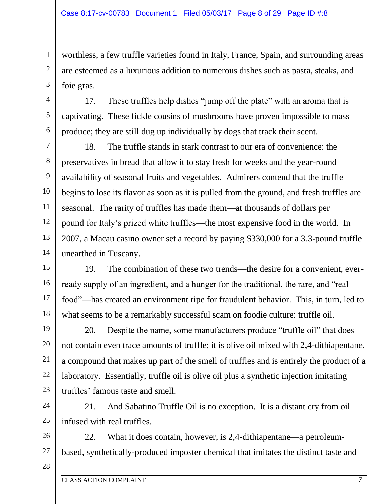worthless, a few truffle varieties found in Italy, France, Spain, and surrounding areas are esteemed as a luxurious addition to numerous dishes such as pasta, steaks, and foie gras.

17. These truffles help dishes "jump off the plate" with an aroma that is captivating. These fickle cousins of mushrooms have proven impossible to mass produce; they are still dug up individually by dogs that track their scent.

8 9 10 11 12 13 14 18. The truffle stands in stark contrast to our era of convenience: the preservatives in bread that allow it to stay fresh for weeks and the year-round availability of seasonal fruits and vegetables. Admirers contend that the truffle begins to lose its flavor as soon as it is pulled from the ground, and fresh truffles are seasonal. The rarity of truffles has made them—at thousands of dollars per pound for Italy's prized white truffles—the most expensive food in the world. In 2007, a Macau casino owner set a record by paying \$330,000 for a 3.3-pound truffle unearthed in Tuscany.

15 16 17 18 19. The combination of these two trends—the desire for a convenient, everready supply of an ingredient, and a hunger for the traditional, the rare, and "real food"—has created an environment ripe for fraudulent behavior. This, in turn, led to what seems to be a remarkably successful scam on foodie culture: truffle oil.

20. Despite the name, some manufacturers produce "truffle oil" that does not contain even trace amounts of truffle; it is olive oil mixed with 2,4-dithiapentane, a compound that makes up part of the smell of truffles and is entirely the product of a laboratory. Essentially, truffle oil is olive oil plus a synthetic injection imitating truffles' famous taste and smell.

24 25 21. And Sabatino Truffle Oil is no exception. It is a distant cry from oil infused with real truffles.

26 27 22. What it does contain, however, is 2,4-dithiapentane—a petroleumbased, synthetically-produced imposter chemical that imitates the distinct taste and

28

19

20

21

22

23

1

2

3

4

5

6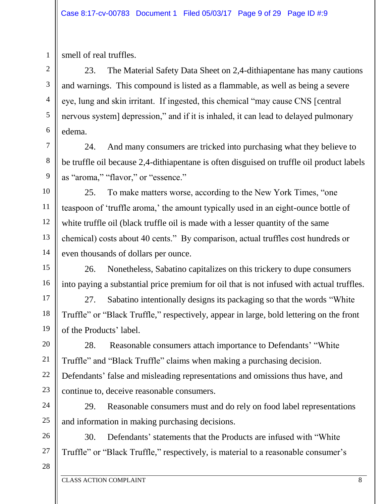smell of real truffles.

1

2

3

4

5

6

7

8

9

11

23. The Material Safety Data Sheet on 2,4-dithiapentane has many cautions and warnings. This compound is listed as a flammable, as well as being a severe eye, lung and skin irritant. If ingested, this chemical "may cause CNS [central nervous system] depression," and if it is inhaled, it can lead to delayed pulmonary edema.

24. And many consumers are tricked into purchasing what they believe to be truffle oil because 2,4-dithiapentane is often disguised on truffle oil product labels as "aroma," "flavor," or "essence."

10 12 13 14 25. To make matters worse, according to the New York Times, "one teaspoon of 'truffle aroma,' the amount typically used in an eight-ounce bottle of white truffle oil (black truffle oil is made with a lesser quantity of the same chemical) costs about 40 cents." By comparison, actual truffles cost hundreds or even thousands of dollars per ounce.

15 16 26. Nonetheless, Sabatino capitalizes on this trickery to dupe consumers into paying a substantial price premium for oil that is not infused with actual truffles.

17 18 19 27. Sabatino intentionally designs its packaging so that the words "White Truffle" or "Black Truffle," respectively, appear in large, bold lettering on the front of the Products' label.

20 21 22 23 28. Reasonable consumers attach importance to Defendants' "White Truffle" and "Black Truffle" claims when making a purchasing decision. Defendants' false and misleading representations and omissions thus have, and continue to, deceive reasonable consumers.

24 25 29. Reasonable consumers must and do rely on food label representations and information in making purchasing decisions.

26 27 30. Defendants' statements that the Products are infused with "White Truffle" or "Black Truffle," respectively, is material to a reasonable consumer's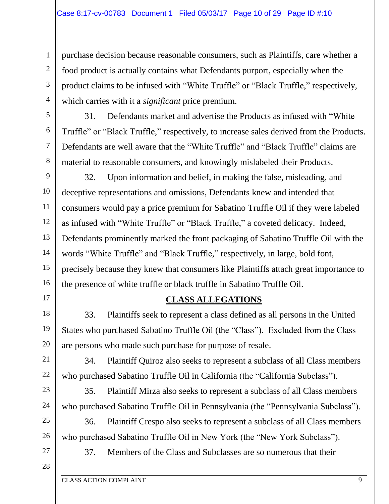purchase decision because reasonable consumers, such as Plaintiffs, care whether a food product is actually contains what Defendants purport, especially when the product claims to be infused with "White Truffle" or "Black Truffle," respectively, which carries with it a *significant* price premium.

31. Defendants market and advertise the Products as infused with "White Truffle" or "Black Truffle," respectively, to increase sales derived from the Products. Defendants are well aware that the "White Truffle" and "Black Truffle" claims are material to reasonable consumers, and knowingly mislabeled their Products.

9 10 11 12 13 14 15 16 32. Upon information and belief, in making the false, misleading, and deceptive representations and omissions, Defendants knew and intended that consumers would pay a price premium for Sabatino Truffle Oil if they were labeled as infused with "White Truffle" or "Black Truffle," a coveted delicacy. Indeed, Defendants prominently marked the front packaging of Sabatino Truffle Oil with the words "White Truffle" and "Black Truffle," respectively, in large, bold font, precisely because they knew that consumers like Plaintiffs attach great importance to the presence of white truffle or black truffle in Sabatino Truffle Oil.

## **CLASS ALLEGATIONS**

33. Plaintiffs seek to represent a class defined as all persons in the United States who purchased Sabatino Truffle Oil (the "Class"). Excluded from the Class are persons who made such purchase for purpose of resale.

34. Plaintiff Quiroz also seeks to represent a subclass of all Class members who purchased Sabatino Truffle Oil in California (the "California Subclass").

35. Plaintiff Mirza also seeks to represent a subclass of all Class members who purchased Sabatino Truffle Oil in Pennsylvania (the "Pennsylvania Subclass").

36. Plaintiff Crespo also seeks to represent a subclass of all Class members who purchased Sabatino Truffle Oil in New York (the "New York Subclass").

27 28

1

2

3

4

5

6

7

8

17

18

19

20

21

22

23

24

25

26

37. Members of the Class and Subclasses are so numerous that their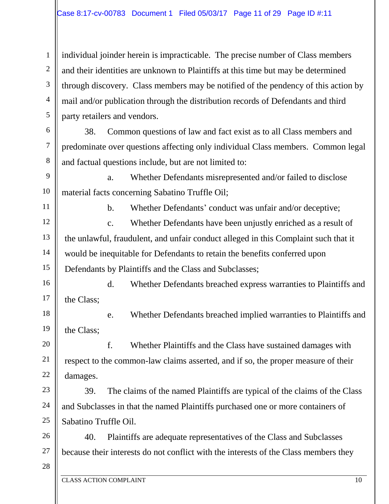individual joinder herein is impracticable. The precise number of Class members and their identities are unknown to Plaintiffs at this time but may be determined through discovery. Class members may be notified of the pendency of this action by mail and/or publication through the distribution records of Defendants and third party retailers and vendors.

38. Common questions of law and fact exist as to all Class members and predominate over questions affecting only individual Class members. Common legal and factual questions include, but are not limited to:

9 10 a. Whether Defendants misrepresented and/or failed to disclose material facts concerning Sabatino Truffle Oil;

11

1

2

3

4

5

6

7

8

b. Whether Defendants' conduct was unfair and/or deceptive;

12 13 14 15 c. Whether Defendants have been unjustly enriched as a result of the unlawful, fraudulent, and unfair conduct alleged in this Complaint such that it would be inequitable for Defendants to retain the benefits conferred upon Defendants by Plaintiffs and the Class and Subclasses;

16 17 d. Whether Defendants breached express warranties to Plaintiffs and the Class;

18 19 e. Whether Defendants breached implied warranties to Plaintiffs and the Class;

20 21 22 f. Whether Plaintiffs and the Class have sustained damages with respect to the common-law claims asserted, and if so, the proper measure of their damages.

23 24 25 39. The claims of the named Plaintiffs are typical of the claims of the Class and Subclasses in that the named Plaintiffs purchased one or more containers of Sabatino Truffle Oil.

26 27 40. Plaintiffs are adequate representatives of the Class and Subclasses because their interests do not conflict with the interests of the Class members they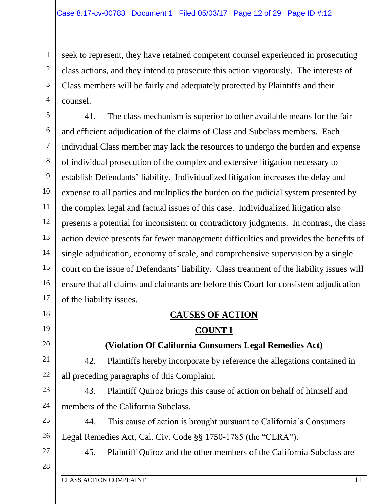seek to represent, they have retained competent counsel experienced in prosecuting class actions, and they intend to prosecute this action vigorously. The interests of Class members will be fairly and adequately protected by Plaintiffs and their counsel.

5 6 7 8 9 10 11 12 13 14 15 16 17 41. The class mechanism is superior to other available means for the fair and efficient adjudication of the claims of Class and Subclass members. Each individual Class member may lack the resources to undergo the burden and expense of individual prosecution of the complex and extensive litigation necessary to establish Defendants' liability. Individualized litigation increases the delay and expense to all parties and multiplies the burden on the judicial system presented by the complex legal and factual issues of this case. Individualized litigation also presents a potential for inconsistent or contradictory judgments. In contrast, the class action device presents far fewer management difficulties and provides the benefits of single adjudication, economy of scale, and comprehensive supervision by a single court on the issue of Defendants' liability. Class treatment of the liability issues will ensure that all claims and claimants are before this Court for consistent adjudication of the liability issues.

# **CAUSES OF ACTION COUNT I**

## **(Violation Of California Consumers Legal Remedies Act)**

42. Plaintiffs hereby incorporate by reference the allegations contained in all preceding paragraphs of this Complaint.

43. Plaintiff Quiroz brings this cause of action on behalf of himself and members of the California Subclass.

25 26 44. This cause of action is brought pursuant to California's Consumers Legal Remedies Act, Cal. Civ. Code §§ 1750-1785 (the "CLRA").

27 28

18

19

20

21

22

23

24

1

2

3

4

45. Plaintiff Quiroz and the other members of the California Subclass are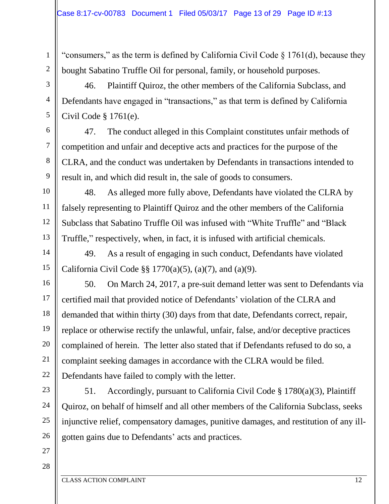"consumers," as the term is defined by California Civil Code  $\S 1761(d)$ , because they bought Sabatino Truffle Oil for personal, family, or household purposes.

46. Plaintiff Quiroz, the other members of the California Subclass, and Defendants have engaged in "transactions," as that term is defined by California Civil Code § 1761(e).

47. The conduct alleged in this Complaint constitutes unfair methods of competition and unfair and deceptive acts and practices for the purpose of the CLRA, and the conduct was undertaken by Defendants in transactions intended to result in, and which did result in, the sale of goods to consumers.

48. As alleged more fully above, Defendants have violated the CLRA by falsely representing to Plaintiff Quiroz and the other members of the California Subclass that Sabatino Truffle Oil was infused with "White Truffle" and "Black Truffle," respectively, when, in fact, it is infused with artificial chemicals.

14 15 49. As a result of engaging in such conduct, Defendants have violated California Civil Code §§ 1770(a)(5), (a)(7), and (a)(9).

16 17 18 19 20 21 22 50. On March 24, 2017, a pre-suit demand letter was sent to Defendants via certified mail that provided notice of Defendants' violation of the CLRA and demanded that within thirty (30) days from that date, Defendants correct, repair, replace or otherwise rectify the unlawful, unfair, false, and/or deceptive practices complained of herein. The letter also stated that if Defendants refused to do so, a complaint seeking damages in accordance with the CLRA would be filed. Defendants have failed to comply with the letter.

51. Accordingly, pursuant to California Civil Code § 1780(a)(3), Plaintiff Quiroz, on behalf of himself and all other members of the California Subclass, seeks injunctive relief, compensatory damages, punitive damages, and restitution of any illgotten gains due to Defendants' acts and practices.

27 28

23

24

25

26

1

2

3

4

5

6

7

8

9

10

11

12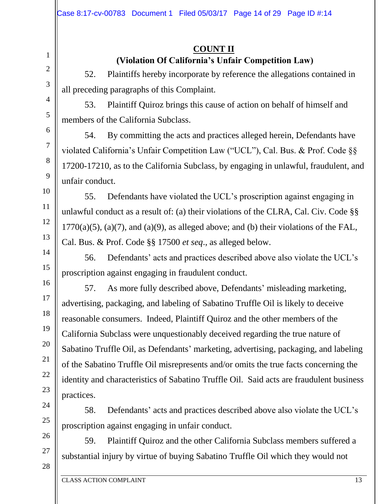# **COUNT II**

# **(Violation Of California's Unfair Competition Law)**

52. Plaintiffs hereby incorporate by reference the allegations contained in all preceding paragraphs of this Complaint.

53. Plaintiff Quiroz brings this cause of action on behalf of himself and members of the California Subclass.

54. By committing the acts and practices alleged herein, Defendants have violated California's Unfair Competition Law ("UCL"), Cal. Bus. & Prof. Code §§ 17200-17210, as to the California Subclass, by engaging in unlawful, fraudulent, and unfair conduct.

55. Defendants have violated the UCL's proscription against engaging in unlawful conduct as a result of: (a) their violations of the CLRA, Cal. Civ. Code §§  $1770(a)(5)$ ,  $(a)(7)$ , and  $(a)(9)$ , as alleged above; and (b) their violations of the FAL, Cal. Bus. & Prof. Code §§ 17500 *et seq*., as alleged below.

56. Defendants' acts and practices described above also violate the UCL's proscription against engaging in fraudulent conduct.

57. As more fully described above, Defendants' misleading marketing, advertising, packaging, and labeling of Sabatino Truffle Oil is likely to deceive reasonable consumers. Indeed, Plaintiff Quiroz and the other members of the California Subclass were unquestionably deceived regarding the true nature of Sabatino Truffle Oil, as Defendants' marketing, advertising, packaging, and labeling of the Sabatino Truffle Oil misrepresents and/or omits the true facts concerning the identity and characteristics of Sabatino Truffle Oil. Said acts are fraudulent business practices.

58. Defendants' acts and practices described above also violate the UCL's proscription against engaging in unfair conduct.

59. Plaintiff Quiroz and the other California Subclass members suffered a substantial injury by virtue of buying Sabatino Truffle Oil which they would not

1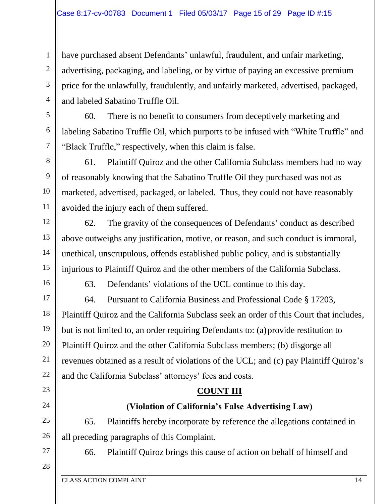have purchased absent Defendants' unlawful, fraudulent, and unfair marketing, advertising, packaging, and labeling, or by virtue of paying an excessive premium price for the unlawfully, fraudulently, and unfairly marketed, advertised, packaged, and labeled Sabatino Truffle Oil.

60. There is no benefit to consumers from deceptively marketing and labeling Sabatino Truffle Oil, which purports to be infused with "White Truffle" and "Black Truffle," respectively, when this claim is false.

61. Plaintiff Quiroz and the other California Subclass members had no way of reasonably knowing that the Sabatino Truffle Oil they purchased was not as marketed, advertised, packaged, or labeled. Thus, they could not have reasonably avoided the injury each of them suffered.

62. The gravity of the consequences of Defendants' conduct as described above outweighs any justification, motive, or reason, and such conduct is immoral, unethical, unscrupulous, offends established public policy, and is substantially injurious to Plaintiff Quiroz and the other members of the California Subclass.

16

1

2

3

4

5

6

7

8

9

10

11

12

13

14

15

63. Defendants' violations of the UCL continue to this day.

17 18 19 20 21 22 64. Pursuant to California Business and Professional Code § 17203, Plaintiff Quiroz and the California Subclass seek an order of this Court that includes, but is not limited to, an order requiring Defendants to: (a)provide restitution to Plaintiff Quiroz and the other California Subclass members; (b) disgorge all revenues obtained as a result of violations of the UCL; and (c) pay Plaintiff Quiroz's and the California Subclass' attorneys' fees and costs.

## **COUNT III**

# **(Violation of California's False Advertising Law)**

25 26 65. Plaintiffs hereby incorporate by reference the allegations contained in all preceding paragraphs of this Complaint.

27 28

23

24

66. Plaintiff Quiroz brings this cause of action on behalf of himself and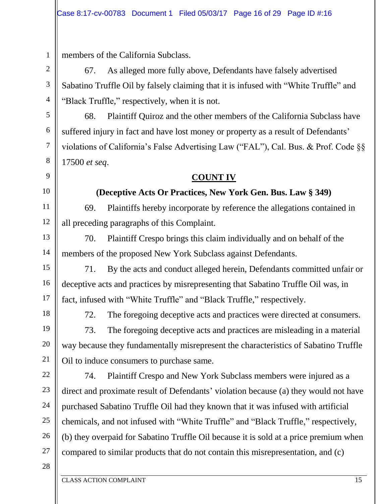members of the California Subclass.

67. As alleged more fully above, Defendants have falsely advertised Sabatino Truffle Oil by falsely claiming that it is infused with "White Truffle" and "Black Truffle," respectively, when it is not.

68. Plaintiff Quiroz and the other members of the California Subclass have suffered injury in fact and have lost money or property as a result of Defendants' violations of California's False Advertising Law ("FAL"), Cal. Bus. & Prof. Code §§ 17500 *et seq*.

# **COUNT IV**

# **(Deceptive Acts Or Practices, New York Gen. Bus. Law § 349)**

69. Plaintiffs hereby incorporate by reference the allegations contained in all preceding paragraphs of this Complaint.

70. Plaintiff Crespo brings this claim individually and on behalf of the members of the proposed New York Subclass against Defendants.

71. By the acts and conduct alleged herein, Defendants committed unfair or deceptive acts and practices by misrepresenting that Sabatino Truffle Oil was, in fact, infused with "White Truffle" and "Black Truffle," respectively.

18

19

20

21

1

2

3

4

5

6

7

8

9

10

11

12

13

14

15

16

17

72. The foregoing deceptive acts and practices were directed at consumers.

73. The foregoing deceptive acts and practices are misleading in a material way because they fundamentally misrepresent the characteristics of Sabatino Truffle Oil to induce consumers to purchase same.

22 23 24 25 26 27 74. Plaintiff Crespo and New York Subclass members were injured as a direct and proximate result of Defendants' violation because (a) they would not have purchased Sabatino Truffle Oil had they known that it was infused with artificial chemicals, and not infused with "White Truffle" and "Black Truffle," respectively, (b) they overpaid for Sabatino Truffle Oil because it is sold at a price premium when compared to similar products that do not contain this misrepresentation, and (c)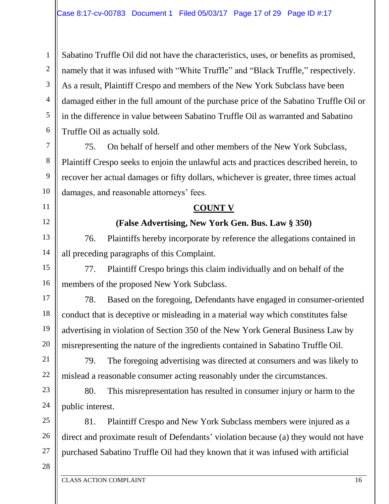Sabatino Truffle Oil did not have the characteristics, uses, or benefits as promised, namely that it was infused with "White Truffle" and "Black Truffle," respectively. As a result, Plaintiff Crespo and members of the New York Subclass have been damaged either in the full amount of the purchase price of the Sabatino Truffle Oil or in the difference in value between Sabatino Truffle Oil as warranted and Sabatino Truffle Oil as actually sold.

75. On behalf of herself and other members of the New York Subclass, Plaintiff Crespo seeks to enjoin the unlawful acts and practices described herein, to recover her actual damages or fifty dollars, whichever is greater, three times actual damages, and reasonable attorneys' fees.

#### **COUNT V**

# **(False Advertising, New York Gen. Bus. Law § 350)**

76. Plaintiffs hereby incorporate by reference the allegations contained in all preceding paragraphs of this Complaint.

77. Plaintiff Crespo brings this claim individually and on behalf of the members of the proposed New York Subclass.

17 18 19 20 78. Based on the foregoing, Defendants have engaged in consumer-oriented conduct that is deceptive or misleading in a material way which constitutes false advertising in violation of Section 350 of the New York General Business Law by misrepresenting the nature of the ingredients contained in Sabatino Truffle Oil.

79. The foregoing advertising was directed at consumers and was likely to mislead a reasonable consumer acting reasonably under the circumstances.

80. This misrepresentation has resulted in consumer injury or harm to the public interest.

25 26 81. Plaintiff Crespo and New York Subclass members were injured as a direct and proximate result of Defendants' violation because (a) they would not have purchased Sabatino Truffle Oil had they known that it was infused with artificial

28

27

1

2

3

4

5

6

7

8

9

10

11

12

13

14

15

16

21

22

23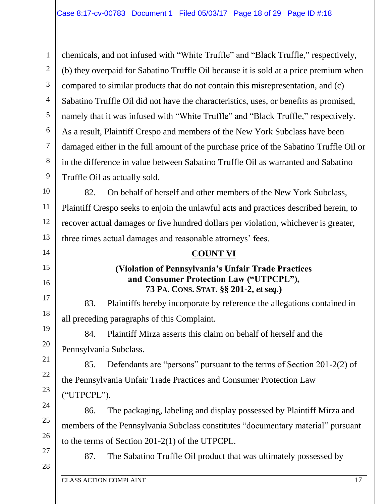1 2 3 4 5 6 7 8 9 chemicals, and not infused with "White Truffle" and "Black Truffle," respectively, (b) they overpaid for Sabatino Truffle Oil because it is sold at a price premium when compared to similar products that do not contain this misrepresentation, and (c) Sabatino Truffle Oil did not have the characteristics, uses, or benefits as promised, namely that it was infused with "White Truffle" and "Black Truffle," respectively. As a result, Plaintiff Crespo and members of the New York Subclass have been damaged either in the full amount of the purchase price of the Sabatino Truffle Oil or in the difference in value between Sabatino Truffle Oil as warranted and Sabatino Truffle Oil as actually sold.

10 11 12 13 82. On behalf of herself and other members of the New York Subclass, Plaintiff Crespo seeks to enjoin the unlawful acts and practices described herein, to recover actual damages or five hundred dollars per violation, whichever is greater, three times actual damages and reasonable attorneys' fees.

#### **COUNT VI**

#### **(Violation of Pennsylvania's Unfair Trade Practices and Consumer Protection Law ("UTPCPL"), 73 PA. CONS. STAT. §§ 201-2,** *et seq.***)**

83. Plaintiffs hereby incorporate by reference the allegations contained in all preceding paragraphs of this Complaint.

84. Plaintiff Mirza asserts this claim on behalf of herself and the Pennsylvania Subclass.

85. Defendants are "persons" pursuant to the terms of Section 201-2(2) of the Pennsylvania Unfair Trade Practices and Consumer Protection Law ("UTPCPL").

86. The packaging, labeling and display possessed by Plaintiff Mirza and members of the Pennsylvania Subclass constitutes "documentary material" pursuant to the terms of Section 201-2(1) of the UTPCPL.

27 28

14

15

16

17

18

19

20

21

22

23

24

25

26

87. The Sabatino Truffle Oil product that was ultimately possessed by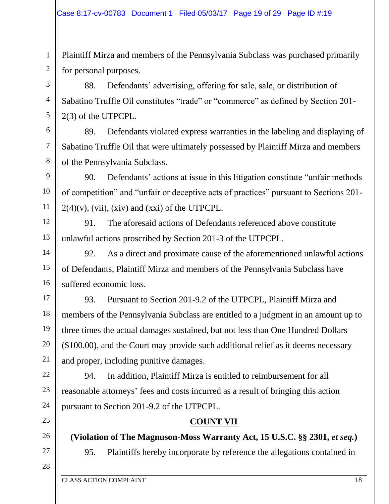Plaintiff Mirza and members of the Pennsylvania Subclass was purchased primarily for personal purposes.

88. Defendants' advertising, offering for sale, sale, or distribution of Sabatino Truffle Oil constitutes "trade" or "commerce" as defined by Section 201- 2(3) of the UTPCPL.

89. Defendants violated express warranties in the labeling and displaying of Sabatino Truffle Oil that were ultimately possessed by Plaintiff Mirza and members of the Pennsylvania Subclass.

90. Defendants' actions at issue in this litigation constitute "unfair methods of competition" and "unfair or deceptive acts of practices" pursuant to Sections 201-  $2(4)(v)$ , (vii), (xiv) and (xxi) of the UTPCPL.

91. The aforesaid actions of Defendants referenced above constitute unlawful actions proscribed by Section 201-3 of the UTPCPL.

92. As a direct and proximate cause of the aforementioned unlawful actions of Defendants, Plaintiff Mirza and members of the Pennsylvania Subclass have suffered economic loss.

93. Pursuant to Section 201-9.2 of the UTPCPL, Plaintiff Mirza and members of the Pennsylvania Subclass are entitled to a judgment in an amount up to three times the actual damages sustained, but not less than One Hundred Dollars (\$100.00), and the Court may provide such additional relief as it deems necessary and proper, including punitive damages.

94. In addition, Plaintiff Mirza is entitled to reimbursement for all reasonable attorneys' fees and costs incurred as a result of bringing this action pursuant to Section 201-9.2 of the UTPCPL.

# **COUNT VII**

**(Violation of The Magnuson-Moss Warranty Act, 15 U.S.C. §§ 2301,** *et seq.***)**

95. Plaintiffs hereby incorporate by reference the allegations contained in

1

2

3

4

5

6

7

8

9

10

11

12

13

14

15

16

17

18

19

20

21

22

23

24

25

26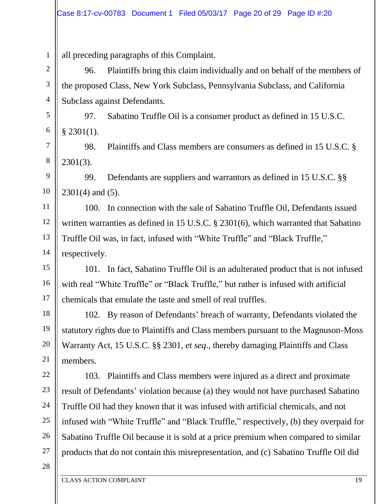all preceding paragraphs of this Complaint.

96. Plaintiffs bring this claim individually and on behalf of the members of the proposed Class, New York Subclass, Pennsylvania Subclass, and California Subclass against Defendants.

97. Sabatino Truffle Oil is a consumer product as defined in 15 U.S.C.  $§$  2301(1).

98. Plaintiffs and Class members are consumers as defined in 15 U.S.C. § 2301(3).

9 10 99. Defendants are suppliers and warrantors as defined in 15 U.S.C. §§ 2301(4) and (5).

12 13 14 100. In connection with the sale of Sabatino Truffle Oil, Defendants issued written warranties as defined in 15 U.S.C. § 2301(6), which warranted that Sabatino Truffle Oil was, in fact, infused with "White Truffle" and "Black Truffle," respectively.

15 16 17 101. In fact, Sabatino Truffle Oil is an adulterated product that is not infused with real "White Truffle" or "Black Truffle," but rather is infused with artificial chemicals that emulate the taste and smell of real truffles.

18 19 20 21 102. By reason of Defendants' breach of warranty, Defendants violated the statutory rights due to Plaintiffs and Class members pursuant to the Magnuson-Moss Warranty Act, 15 U.S.C. §§ 2301, *et seq*., thereby damaging Plaintiffs and Class members.

103. Plaintiffs and Class members were injured as a direct and proximate result of Defendants' violation because (a) they would not have purchased Sabatino Truffle Oil had they known that it was infused with artificial chemicals, and not infused with "White Truffle" and "Black Truffle," respectively, (b) they overpaid for Sabatino Truffle Oil because it is sold at a price premium when compared to similar products that do not contain this misrepresentation, and (c) Sabatino Truffle Oil did

28

22

23

24

25

26

27

1

2

3

4

5

6

7

8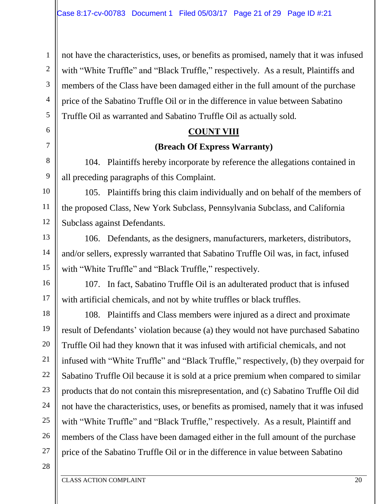not have the characteristics, uses, or benefits as promised, namely that it was infused with "White Truffle" and "Black Truffle," respectively. As a result, Plaintiffs and members of the Class have been damaged either in the full amount of the purchase price of the Sabatino Truffle Oil or in the difference in value between Sabatino Truffle Oil as warranted and Sabatino Truffle Oil as actually sold.

#### **COUNT VIII**

#### **(Breach Of Express Warranty)**

104. Plaintiffs hereby incorporate by reference the allegations contained in all preceding paragraphs of this Complaint.

10 11 12 105. Plaintiffs bring this claim individually and on behalf of the members of the proposed Class, New York Subclass, Pennsylvania Subclass, and California Subclass against Defendants.

106. Defendants, as the designers, manufacturers, marketers, distributors, and/or sellers, expressly warranted that Sabatino Truffle Oil was, in fact, infused with "White Truffle" and "Black Truffle," respectively.

16 17 107. In fact, Sabatino Truffle Oil is an adulterated product that is infused with artificial chemicals, and not by white truffles or black truffles.

18 19 20 21 22 23 24 25 26 27 108. Plaintiffs and Class members were injured as a direct and proximate result of Defendants' violation because (a) they would not have purchased Sabatino Truffle Oil had they known that it was infused with artificial chemicals, and not infused with "White Truffle" and "Black Truffle," respectively, (b) they overpaid for Sabatino Truffle Oil because it is sold at a price premium when compared to similar products that do not contain this misrepresentation, and (c) Sabatino Truffle Oil did not have the characteristics, uses, or benefits as promised, namely that it was infused with "White Truffle" and "Black Truffle," respectively. As a result, Plaintiff and members of the Class have been damaged either in the full amount of the purchase price of the Sabatino Truffle Oil or in the difference in value between Sabatino

28

1

2

3

4

5

6

7

8

9

13

14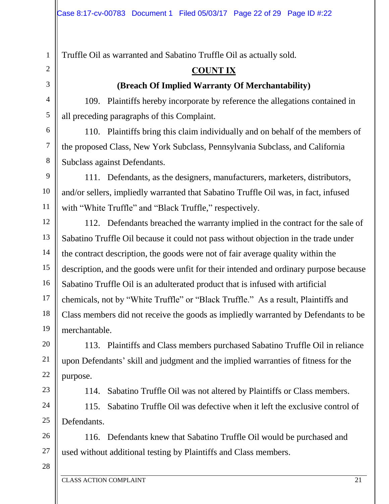Truffle Oil as warranted and Sabatino Truffle Oil as actually sold.

# **COUNT IX**

# **(Breach Of Implied Warranty Of Merchantability)**

109. Plaintiffs hereby incorporate by reference the allegations contained in all preceding paragraphs of this Complaint.

110. Plaintiffs bring this claim individually and on behalf of the members of the proposed Class, New York Subclass, Pennsylvania Subclass, and California Subclass against Defendants.

111. Defendants, as the designers, manufacturers, marketers, distributors, and/or sellers, impliedly warranted that Sabatino Truffle Oil was, in fact, infused with "White Truffle" and "Black Truffle," respectively.

12 13 14 15 16 17 18 19 112. Defendants breached the warranty implied in the contract for the sale of Sabatino Truffle Oil because it could not pass without objection in the trade under the contract description, the goods were not of fair average quality within the description, and the goods were unfit for their intended and ordinary purpose because Sabatino Truffle Oil is an adulterated product that is infused with artificial chemicals, not by "White Truffle" or "Black Truffle." As a result, Plaintiffs and Class members did not receive the goods as impliedly warranted by Defendants to be merchantable.

20 21 22 113. Plaintiffs and Class members purchased Sabatino Truffle Oil in reliance upon Defendants' skill and judgment and the implied warranties of fitness for the purpose.

23

24

25

1

2

3

4

5

6

7

8

9

10

11

114. Sabatino Truffle Oil was not altered by Plaintiffs or Class members.

115. Sabatino Truffle Oil was defective when it left the exclusive control of Defendants.

26 27 116. Defendants knew that Sabatino Truffle Oil would be purchased and used without additional testing by Plaintiffs and Class members.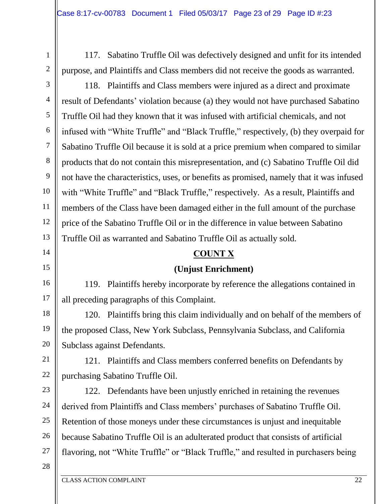117. Sabatino Truffle Oil was defectively designed and unfit for its intended purpose, and Plaintiffs and Class members did not receive the goods as warranted.

118. Plaintiffs and Class members were injured as a direct and proximate result of Defendants' violation because (a) they would not have purchased Sabatino Truffle Oil had they known that it was infused with artificial chemicals, and not infused with "White Truffle" and "Black Truffle," respectively, (b) they overpaid for Sabatino Truffle Oil because it is sold at a price premium when compared to similar products that do not contain this misrepresentation, and (c) Sabatino Truffle Oil did not have the characteristics, uses, or benefits as promised, namely that it was infused with "White Truffle" and "Black Truffle," respectively. As a result, Plaintiffs and members of the Class have been damaged either in the full amount of the purchase price of the Sabatino Truffle Oil or in the difference in value between Sabatino Truffle Oil as warranted and Sabatino Truffle Oil as actually sold.

#### **COUNT X**

## **(Unjust Enrichment)**

119. Plaintiffs hereby incorporate by reference the allegations contained in all preceding paragraphs of this Complaint.

18 19 20 120. Plaintiffs bring this claim individually and on behalf of the members of the proposed Class, New York Subclass, Pennsylvania Subclass, and California Subclass against Defendants.

21 22 121. Plaintiffs and Class members conferred benefits on Defendants by purchasing Sabatino Truffle Oil.

23 24 25 26 27 122. Defendants have been unjustly enriched in retaining the revenues derived from Plaintiffs and Class members' purchases of Sabatino Truffle Oil. Retention of those moneys under these circumstances is unjust and inequitable because Sabatino Truffle Oil is an adulterated product that consists of artificial flavoring, not "White Truffle" or "Black Truffle," and resulted in purchasers being

28

1

2

3

4

5

6

7

8

9

10

11

12

13

14

15

16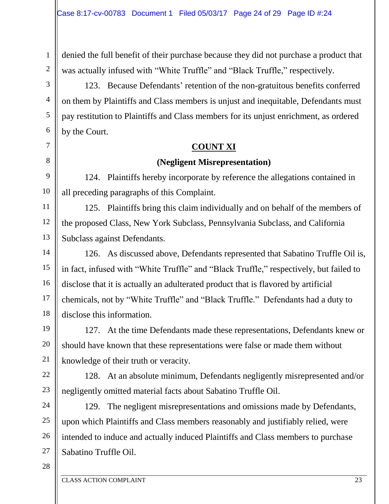denied the full benefit of their purchase because they did not purchase a product that was actually infused with "White Truffle" and "Black Truffle," respectively.

123. Because Defendants' retention of the non-gratuitous benefits conferred on them by Plaintiffs and Class members is unjust and inequitable, Defendants must pay restitution to Plaintiffs and Class members for its unjust enrichment, as ordered by the Court.

#### **COUNT XI**

# **(Negligent Misrepresentation)**

124. Plaintiffs hereby incorporate by reference the allegations contained in all preceding paragraphs of this Complaint.

11 12 13 125. Plaintiffs bring this claim individually and on behalf of the members of the proposed Class, New York Subclass, Pennsylvania Subclass, and California Subclass against Defendants.

14 15 16 17 18 126. As discussed above, Defendants represented that Sabatino Truffle Oil is, in fact, infused with "White Truffle" and "Black Truffle," respectively, but failed to disclose that it is actually an adulterated product that is flavored by artificial chemicals, not by "White Truffle" and "Black Truffle." Defendants had a duty to disclose this information.

127. At the time Defendants made these representations, Defendants knew or should have known that these representations were false or made them without knowledge of their truth or veracity.

22 23 128. At an absolute minimum, Defendants negligently misrepresented and/or negligently omitted material facts about Sabatino Truffle Oil.

24 25 26 27 129. The negligent misrepresentations and omissions made by Defendants, upon which Plaintiffs and Class members reasonably and justifiably relied, were intended to induce and actually induced Plaintiffs and Class members to purchase Sabatino Truffle Oil.

28

1

2

3

4

5

6

7

8

9

10

19

20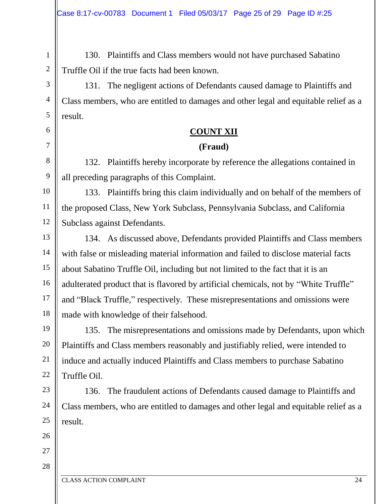130. Plaintiffs and Class members would not have purchased Sabatino Truffle Oil if the true facts had been known.

131. The negligent actions of Defendants caused damage to Plaintiffs and Class members, who are entitled to damages and other legal and equitable relief as a result.

## **COUNT XII**

## **(Fraud)**

132. Plaintiffs hereby incorporate by reference the allegations contained in all preceding paragraphs of this Complaint.

10 11 12 133. Plaintiffs bring this claim individually and on behalf of the members of the proposed Class, New York Subclass, Pennsylvania Subclass, and California Subclass against Defendants.

13 14 15 16 17 18 134. As discussed above, Defendants provided Plaintiffs and Class members with false or misleading material information and failed to disclose material facts about Sabatino Truffle Oil, including but not limited to the fact that it is an adulterated product that is flavored by artificial chemicals, not by "White Truffle" and "Black Truffle," respectively. These misrepresentations and omissions were made with knowledge of their falsehood.

19 20 22 135. The misrepresentations and omissions made by Defendants, upon which Plaintiffs and Class members reasonably and justifiably relied, were intended to induce and actually induced Plaintiffs and Class members to purchase Sabatino Truffle Oil.

136. The fraudulent actions of Defendants caused damage to Plaintiffs and Class members, who are entitled to damages and other legal and equitable relief as a result.

26 27

21

23

24

25

1

2

3

4

5

6

7

8

9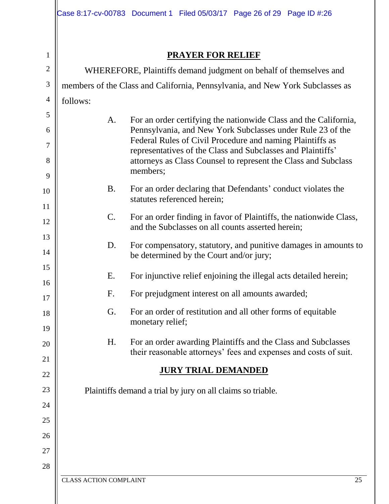## **PRAYER FOR RELIEF**

2 3 4 WHEREFORE, Plaintiffs demand judgment on behalf of themselves and members of the Class and California, Pennsylvania, and New York Subclasses as follows:

A. For an order certifying the nationwide Class and the California, Pennsylvania, and New York Subclasses under Rule 23 of the Federal Rules of Civil Procedure and naming Plaintiffs as representatives of the Class and Subclasses and Plaintiffs' attorneys as Class Counsel to represent the Class and Subclass members; B. For an order declaring that Defendants' conduct violates the statutes referenced herein; C. For an order finding in favor of Plaintiffs, the nationwide Class, and the Subclasses on all counts asserted herein; D. For compensatory, statutory, and punitive damages in amounts to be determined by the Court and/or jury; E. For injunctive relief enjoining the illegal acts detailed herein; F. For prejudgment interest on all amounts awarded; G. For an order of restitution and all other forms of equitable monetary relief; H. For an order awarding Plaintiffs and the Class and Subclasses their reasonable attorneys' fees and expenses and costs of suit. **JURY TRIAL DEMANDED**

Plaintiffs demand a trial by jury on all claims so triable.

1

5

6

7

8

9

10

11

12

13

14

15

16

17

18

19

20

21

22

23

24

25

26

27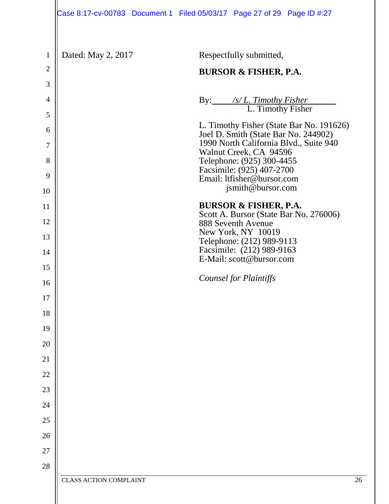| $\mathbf{1}$ | Dated: May 2, 2017            | Respectfully submitted,                                                          |
|--------------|-------------------------------|----------------------------------------------------------------------------------|
| $\mathbf{2}$ |                               | <b>BURSOR &amp; FISHER, P.A.</b>                                                 |
| 3            |                               |                                                                                  |
| 4            |                               | By: /s/ <i>L. Timothy Fisher</i><br>L. Timothy Fisher                            |
| 5            |                               |                                                                                  |
| 6            |                               | L. Timothy Fisher (State Bar No. 191626)<br>Joel D. Smith (State Bar No. 244902) |
| $\tau$       |                               | 1990 North California Blvd., Suite 940<br>Walnut Creek, CA 94596                 |
| 8            |                               | Telephone: (925) 300-4455<br>Facsimile: (925) 407-2700                           |
| 9            |                               | Email: ltfisher@bursor.com                                                       |
| 10           |                               | jsmith@bursor.com                                                                |
| 11           |                               | <b>BURSOR &amp; FISHER, P.A.</b><br>Scott A. Bursor (State Bar No. 276006)       |
| 12           |                               | 888 Seventh Avenue                                                               |
| 13           |                               | New York, NY 10019<br>Telephone: (212) 989-9113                                  |
| 14           |                               | Facsimile: (212) 989-9163<br>E-Mail: scott@bursor.com                            |
| 15           |                               |                                                                                  |
| 16           |                               | <b>Counsel for Plaintiffs</b>                                                    |
| 17           |                               |                                                                                  |
| 18           |                               |                                                                                  |
| 19           |                               |                                                                                  |
| 20           |                               |                                                                                  |
| 21           |                               |                                                                                  |
| 22           |                               |                                                                                  |
| 23           |                               |                                                                                  |
| 24           |                               |                                                                                  |
| 25           |                               |                                                                                  |
| 26           |                               |                                                                                  |
| 27           |                               |                                                                                  |
| 28           |                               |                                                                                  |
|              | <b>CLASS ACTION COMPLAINT</b> | 26                                                                               |
|              |                               |                                                                                  |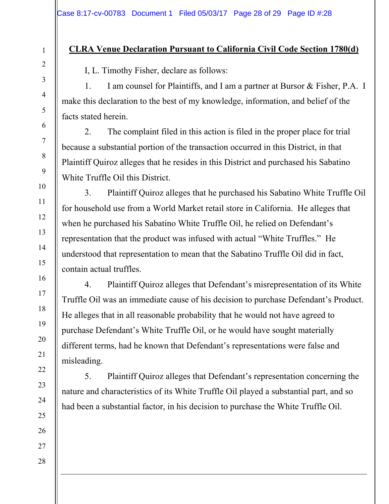#### **CLRA Venue Declaration Pursuant to California Civil Code Section 1780(d)**

I, L. Timothy Fisher, declare as follows:

1. I am counsel for Plaintiffs, and I am a partner at Bursor & Fisher, P.A. I make this declaration to the best of my knowledge, information, and belief of the facts stated herein.

2. The complaint filed in this action is filed in the proper place for trial because a substantial portion of the transaction occurred in this District, in that Plaintiff Quiroz alleges that he resides in this District and purchased his Sabatino White Truffle Oil this District.

3. Plaintiff Quiroz alleges that he purchased his Sabatino White Truffle Oil for household use from a World Market retail store in California. He alleges that when he purchased his Sabatino White Truffle Oil, he relied on Defendant's representation that the product was infused with actual "White Truffles." He understood that representation to mean that the Sabatino Truffle Oil did in fact, contain actual truffles.

4. Plaintiff Quiroz alleges that Defendant's misrepresentation of its White Truffle Oil was an immediate cause of his decision to purchase Defendant's Product. He alleges that in all reasonable probability that he would not have agreed to purchase Defendant's White Truffle Oil, or he would have sought materially different terms, had he known that Defendant's representations were false and misleading.

5. Plaintiff Quiroz alleges that Defendant's representation concerning the nature and characteristics of its White Truffle Oil played a substantial part, and so had been a substantial factor, in his decision to purchase the White Truffle Oil.